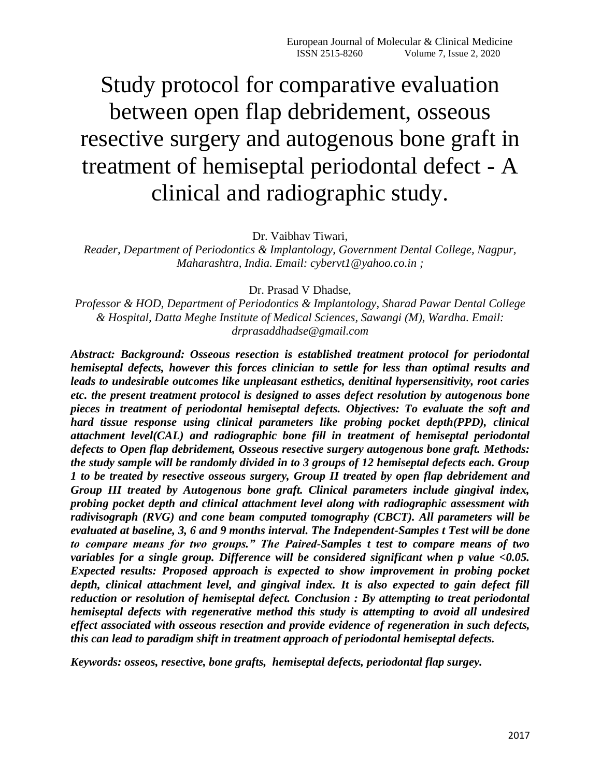# Study protocol for comparative evaluation between open flap debridement, osseous resective surgery and autogenous bone graft in treatment of hemiseptal periodontal defect - A clinical and radiographic study.

Dr. Vaibhav Tiwari,

*Reader, Department of Periodontics & Implantology, Government Dental College, Nagpur, Maharashtra, India. Email: cybervt1@yahoo.co.in ;* 

Dr. Prasad V Dhadse,

*Professor & HOD, Department of Periodontics & Implantology, Sharad Pawar Dental College & Hospital, Datta Meghe Institute of Medical Sciences, Sawangi (M), Wardha. Email: [drprasaddhadse@gmail.com](mailto:drprasaddhadse@gmail.com)* 

*Abstract: Background: Osseous resection is established treatment protocol for periodontal hemiseptal defects, however this forces clinician to settle for less than optimal results and leads to undesirable outcomes like unpleasant esthetics, denitinal hypersensitivity, root caries etc. the present treatment protocol is designed to asses defect resolution by autogenous bone pieces in treatment of periodontal hemiseptal defects. Objectives: To evaluate the soft and hard tissue response using clinical parameters like probing pocket depth(PPD), clinical attachment level(CAL) and radiographic bone fill in treatment of hemiseptal periodontal defects to Open flap debridement, Osseous resective surgery autogenous bone graft. Methods: the study sample will be randomly divided in to 3 groups of 12 hemiseptal defects each. Group 1 to be treated by resective osseous surgery, Group II treated by open flap debridement and Group III treated by Autogenous bone graft. Clinical parameters include gingival index, probing pocket depth and clinical attachment level along with radiographic assessment with radivisograph (RVG) and cone beam computed tomography (CBCT). All parameters will be evaluated at baseline, 3, 6 and 9 months interval. The Independent-Samples t Test will be done to compare means for two groups." The Paired-Samples t test to compare means of two variables for a single group. Difference will be considered significant when p value <0.05. Expected results: Proposed approach is expected to show improvement in probing pocket depth, clinical attachment level, and gingival index. It is also expected to gain defect fill reduction or resolution of hemiseptal defect. Conclusion : By attempting to treat periodontal hemiseptal defects with regenerative method this study is attempting to avoid all undesired effect associated with osseous resection and provide evidence of regeneration in such defects, this can lead to paradigm shift in treatment approach of periodontal hemiseptal defects.*

*Keywords: osseos, resective, bone grafts, hemiseptal defects, periodontal flap surgey.*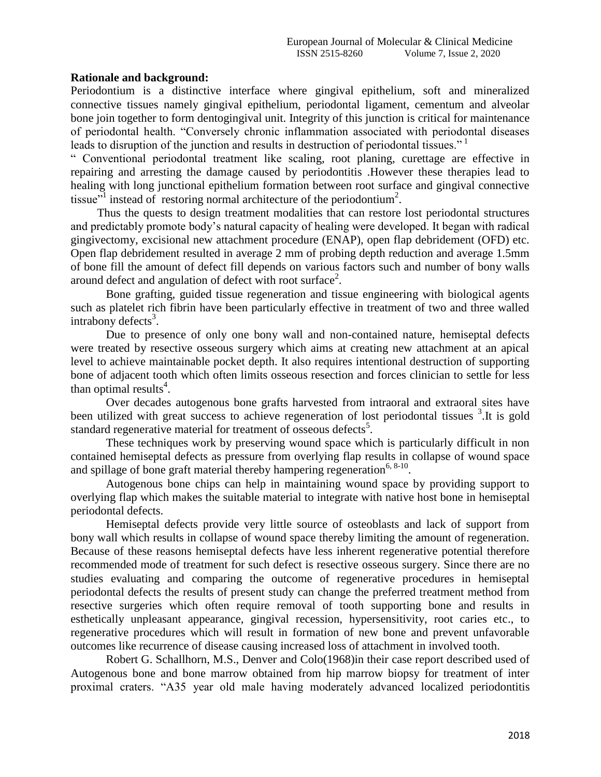# **Rationale and background:**

Periodontium is a distinctive interface where gingival epithelium, soft and mineralized connective tissues namely gingival epithelium, periodontal ligament, cementum and alveolar bone join together to form dentogingival unit. Integrity of this junction is critical for maintenance of periodontal health. "Conversely chronic inflammation associated with periodontal diseases leads to disruption of the junction and results in destruction of periodontal tissues."<sup>1</sup>

" Conventional periodontal treatment like scaling, root planing, curettage are effective in repairing and arresting the damage caused by periodontitis .However these therapies lead to healing with long junctional epithelium formation between root surface and gingival connective tissue"<sup>1</sup> instead of restoring normal architecture of the periodontium<sup>2</sup>.

 Thus the quests to design treatment modalities that can restore lost periodontal structures and predictably promote body's natural capacity of healing were developed. It began with radical gingivectomy, excisional new attachment procedure (ENAP), open flap debridement (OFD) etc. Open flap debridement resulted in average 2 mm of probing depth reduction and average 1.5mm of bone fill the amount of defect fill depends on various factors such and number of bony walls around defect and angulation of defect with root surface<sup>2</sup>.

Bone grafting, guided tissue regeneration and tissue engineering with biological agents such as platelet rich fibrin have been particularly effective in treatment of two and three walled  $intrabony$  defects<sup>3</sup>.

Due to presence of only one bony wall and non-contained nature, hemiseptal defects were treated by resective osseous surgery which aims at creating new attachment at an apical level to achieve maintainable pocket depth. It also requires intentional destruction of supporting bone of adjacent tooth which often limits osseous resection and forces clinician to settle for less than optimal results<sup>4</sup>.

Over decades autogenous bone grafts harvested from intraoral and extraoral sites have been utilized with great success to achieve regeneration of lost periodontal tissues <sup>3</sup>. It is gold standard regenerative material for treatment of osseous defects<sup>5</sup>.

These techniques work by preserving wound space which is particularly difficult in non contained hemiseptal defects as pressure from overlying flap results in collapse of wound space and spillage of bone graft material thereby hampering regeneration<sup>6, 8-10</sup>.

Autogenous bone chips can help in maintaining wound space by providing support to overlying flap which makes the suitable material to integrate with native host bone in hemiseptal periodontal defects.

Hemiseptal defects provide very little source of osteoblasts and lack of support from bony wall which results in collapse of wound space thereby limiting the amount of regeneration. Because of these reasons hemiseptal defects have less inherent regenerative potential therefore recommended mode of treatment for such defect is resective osseous surgery. Since there are no studies evaluating and comparing the outcome of regenerative procedures in hemiseptal periodontal defects the results of present study can change the preferred treatment method from resective surgeries which often require removal of tooth supporting bone and results in esthetically unpleasant appearance, gingival recession, hypersensitivity, root caries etc., to regenerative procedures which will result in formation of new bone and prevent unfavorable outcomes like recurrence of disease causing increased loss of attachment in involved tooth.

Robert G. Schallhorn, M.S., Denver and Colo(1968)in their case report described used of Autogenous bone and bone marrow obtained from hip marrow biopsy for treatment of inter proximal craters. "A35 year old male having moderately advanced localized periodontitis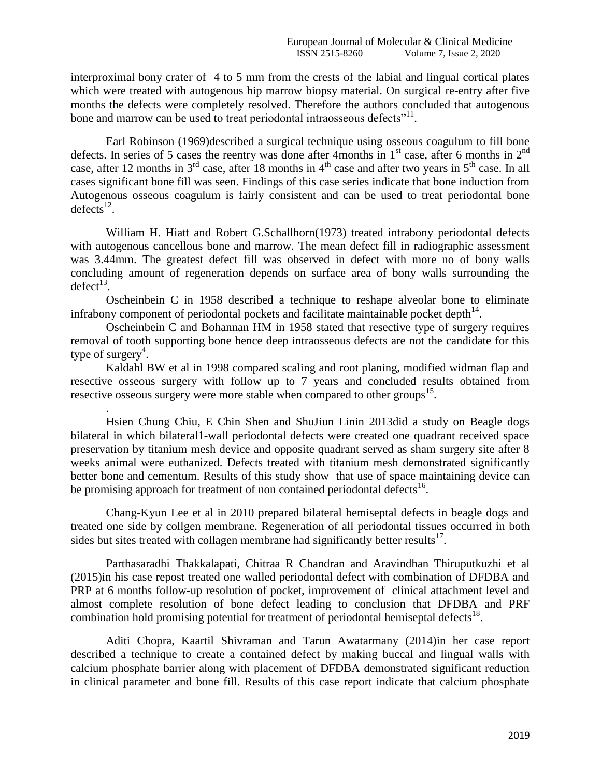interproximal bony crater of 4 to 5 mm from the crests of the labial and lingual cortical plates which were treated with autogenous hip marrow biopsy material. On surgical re-entry after five months the defects were completely resolved. Therefore the authors concluded that autogenous bone and marrow can be used to treat periodontal intraosseous defects"<sup>11</sup>.

Earl Robinson (1969)described a surgical technique using osseous coagulum to fill bone defects. In series of 5 cases the reentry was done after 4months in 1<sup>st</sup> case, after 6 months in 2<sup>nd</sup> case, after 12 months in  $3<sup>rd</sup>$  case, after 18 months in 4<sup>th</sup> case and after two years in 5<sup>th</sup> case. In all cases significant bone fill was seen. Findings of this case series indicate that bone induction from Autogenous osseous coagulum is fairly consistent and can be used to treat periodontal bone defects<sup>12</sup>.

William H. Hiatt and Robert G.Schallhorn(1973) treated intrabony periodontal defects with autogenous cancellous bone and marrow. The mean defect fill in radiographic assessment was 3.44mm. The greatest defect fill was observed in defect with more no of bony walls concluding amount of regeneration depends on surface area of bony walls surrounding the  $\text{defect}^{13}$ .

Oscheinbein C in 1958 described a technique to reshape alveolar bone to eliminate infrabony component of periodontal pockets and facilitate maintainable pocket depth $14$ .

Oscheinbein C and Bohannan HM in 1958 stated that resective type of surgery requires removal of tooth supporting bone hence deep intraosseous defects are not the candidate for this type of surgery<sup>4</sup>.

Kaldahl BW et al in 1998 compared scaling and root planing, modified widman flap and resective osseous surgery with follow up to 7 years and concluded results obtained from resective osseous surgery were more stable when compared to other groups<sup>15</sup>.

.

[Hsien Chung Chiu,](https://onlinelibrary.wiley.com/action/doSearch?ContribAuthorStored=Chiu%2C+Hsien-Chung) [E Chin Shen](https://onlinelibrary.wiley.com/action/doSearch?ContribAuthorStored=Shen%2C+E-Chin) and [ShuJiun Lini](https://onlinelibrary.wiley.com/action/doSearch?ContribAuthorStored=Lin%2C+Shu-Jiun)n 2013did a study on Beagle dogs bilateral in which bilateral1-wall periodontal defects were created one quadrant received space preservation by titanium mesh device and opposite quadrant served as sham surgery site after 8 weeks animal were euthanized. Defects treated with titanium mesh demonstrated significantly better bone and cementum. Results of this study show that use of space maintaining device can be promising approach for treatment of non contained periodontal defects<sup>16</sup>.

Chang-Kyun Lee et al in 2010 prepared bilateral hemiseptal defects in beagle dogs and treated one side by collgen membrane. Regeneration of all periodontal tissues occurred in both sides but sites treated with collagen membrane had significantly better results $^{17}$ .

[Parthasaradhi](https://www.ncbi.nlm.nih.gov/pubmed/?term=Thakkalapati%20P%5BAuthor%5D&cauthor=true&cauthor_uid=26331153) Thakkalapati, [Chitraa R Chandran](https://www.ncbi.nlm.nih.gov/pubmed/?term=R%20Chandran%20C%5BAuthor%5D&cauthor=true&cauthor_uid=26331153) and Aravindhan [Thiruputkuzhi et al](https://www.ncbi.nlm.nih.gov/pubmed/?term=Ranganathan%20AT%5BAuthor%5D&cauthor=true&cauthor_uid=26331153) (2015)in his case repost treated one walled periodontal defect with combination of DFDBA and PRP at 6 months follow-up resolution of pocket, improvement of clinical attachment level and almost complete resolution of bone defect leading to conclusion that DFDBA and PRF combination hold promising potential for treatment of periodontal hemiseptal defects<sup>18</sup>.

Aditi Chopra, Kaartil Shivraman and Tarun Awatarmany (2014)in her case report described a technique to create a contained defect by making buccal and lingual walls with calcium phosphate barrier along with placement of DFDBA demonstrated significant reduction in clinical parameter and bone fill. Results of this case report indicate that calcium phosphate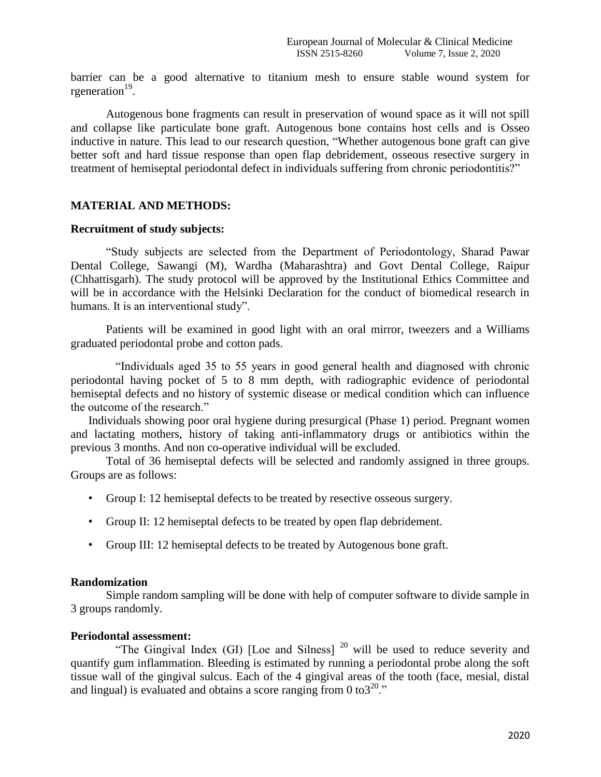barrier can be a good alternative to titanium mesh to ensure stable wound system for rgeneration<sup>19</sup>.

Autogenous bone fragments can result in preservation of wound space as it will not spill and collapse like particulate bone graft. Autogenous bone contains host cells and is Osseo inductive in nature. This lead to our research question, "Whether autogenous bone graft can give better soft and hard tissue response than open flap debridement, osseous resective surgery in treatment of hemiseptal periodontal defect in individuals suffering from chronic periodontitis?"

# **MATERIAL AND METHODS:**

#### **Recruitment of study subjects:**

"Study subjects are selected from the Department of Periodontology, Sharad Pawar Dental College, Sawangi (M), Wardha (Maharashtra) and Govt Dental College, Raipur (Chhattisgarh). The study protocol will be approved by the Institutional Ethics Committee and will be in accordance with the Helsinki Declaration for the conduct of biomedical research in humans. It is an interventional study".

Patients will be examined in good light with an oral mirror, tweezers and a Williams graduated periodontal probe and cotton pads.

"Individuals aged 35 to 55 years in good general health and diagnosed with chronic periodontal having pocket of 5 to 8 mm depth, with radiographic evidence of periodontal hemiseptal defects and no history of systemic disease or medical condition which can influence the outcome of the research."

Individuals showing poor oral hygiene during presurgical (Phase 1) period. Pregnant women and lactating mothers, history of taking anti-inflammatory drugs or antibiotics within the previous 3 months. And non co-operative individual will be excluded.

Total of 36 hemiseptal defects will be selected and randomly assigned in three groups. Groups are as follows:

- Group I: 12 hemiseptal defects to be treated by resective osseous surgery.
- Group II: 12 hemiseptal defects to be treated by open flap debridement.
- Group III: 12 hemiseptal defects to be treated by Autogenous bone graft.

#### **Randomization**

Simple random sampling will be done with help of computer software to divide sample in 3 groups randomly.

#### **Periodontal assessment:**

"The Gingival Index (GI) [Loe and Silness]  $^{20}$  will be used to reduce severity and quantify gum inflammation. Bleeding is estimated by running a periodontal probe along the soft tissue wall of the gingival sulcus. Each of the 4 gingival areas of the tooth (face, mesial, distal and lingual) is evaluated and obtains a score ranging from 0 to  $3^{20}$ ."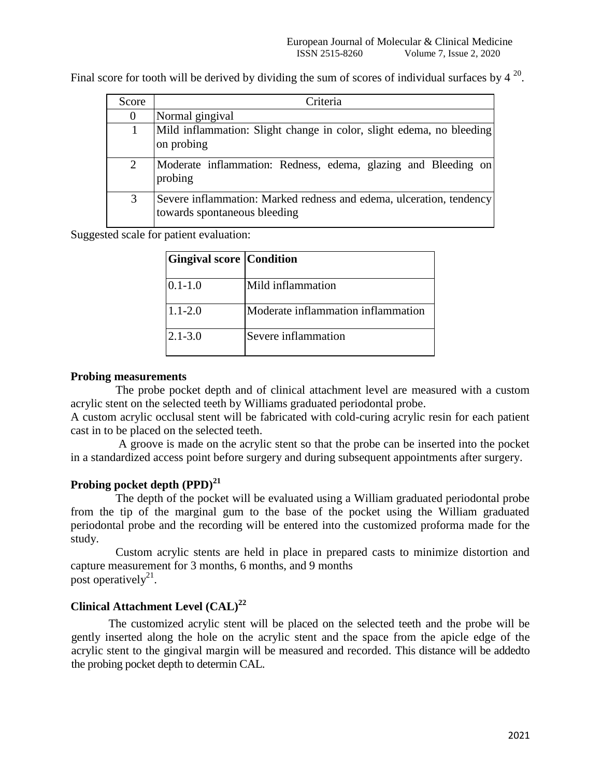Final score for tooth will be derived by dividing the sum of scores of individual surfaces by  $4^{20}$ .

| Score          | Criteria                                                                                            |
|----------------|-----------------------------------------------------------------------------------------------------|
|                | Normal gingival                                                                                     |
|                | Mild inflammation: Slight change in color, slight edema, no bleeding<br>on probing                  |
| $\overline{2}$ | Moderate inflammation: Redness, edema, glazing and Bleeding on<br>probing                           |
| 3              | Severe inflammation: Marked redness and edema, ulceration, tendency<br>towards spontaneous bleeding |

Suggested scale for patient evaluation:

| <b>Gingival score Condition</b> |                                    |
|---------------------------------|------------------------------------|
| $0.1 - 1.0$                     | Mild inflammation                  |
| $1.1 - 2.0$                     | Moderate inflammation inflammation |
| $2.1 - 3.0$                     | Severe inflammation                |

# **Probing measurements**

The probe pocket depth and of clinical attachment level are measured with a custom acrylic stent on the selected teeth by Williams graduated periodontal probe.

A custom acrylic occlusal stent will be fabricated with cold-curing acrylic resin for each patient cast in to be placed on the selected teeth.

A groove is made on the acrylic stent so that the probe can be inserted into the pocket in a standardized access point before surgery and during subsequent appointments after surgery.

# **Probing pocket depth (PPD)<sup>21</sup>**

The depth of the pocket will be evaluated using a William graduated periodontal probe from the tip of the marginal gum to the base of the pocket using the William graduated periodontal probe and the recording will be entered into the customized proforma made for the study.

Custom acrylic stents are held in place in prepared casts to minimize distortion and capture measurement for 3 months, 6 months, and 9 months post operatively<sup>21</sup>.

# **Clinical Attachment Level (CAL)<sup>22</sup>**

The customized acrylic stent will be placed on the selected teeth and the probe will be gently inserted along the hole on the acrylic stent and the space from the apicle edge of the acrylic stent to the gingival margin will be measured and recorded. This distance will be addedto the probing pocket depth to determin CAL.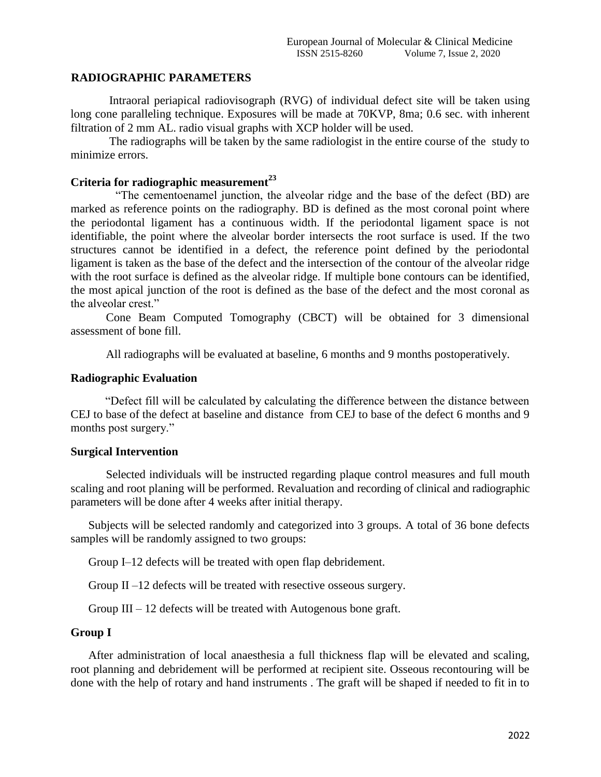# **RADIOGRAPHIC PARAMETERS**

Intraoral periapical radiovisograph (RVG) of individual defect site will be taken using long cone paralleling technique. Exposures will be made at 70KVP, 8ma; 0.6 sec. with inherent filtration of 2 mm AL. radio visual graphs with XCP holder will be used.

The radiographs will be taken by the same radiologist in the entire course of the study to minimize errors.

# **Criteria for radiographic measurement<sup>23</sup>**

"The cementoenamel junction, the alveolar ridge and the base of the defect (BD) are marked as reference points on the radiography. BD is defined as the most coronal point where the periodontal ligament has a continuous width. If the periodontal ligament space is not identifiable, the point where the alveolar border intersects the root surface is used. If the two structures cannot be identified in a defect, the reference point defined by the periodontal ligament is taken as the base of the defect and the intersection of the contour of the alveolar ridge with the root surface is defined as the alveolar ridge. If multiple bone contours can be identified, the most apical junction of the root is defined as the base of the defect and the most coronal as the alveolar crest."

Cone Beam Computed Tomography (CBCT) will be obtained for 3 dimensional assessment of bone fill.

All radiographs will be evaluated at baseline, 6 months and 9 months postoperatively.

# **Radiographic Evaluation**

"Defect fill will be calculated by calculating the difference between the distance between CEJ to base of the defect at baseline and distance from CEJ to base of the defect 6 months and 9 months post surgery."

### **Surgical Intervention**

Selected individuals will be instructed regarding plaque control measures and full mouth scaling and root planing will be performed. Revaluation and recording of clinical and radiographic parameters will be done after 4 weeks after initial therapy.

Subjects will be selected randomly and categorized into 3 groups. A total of 36 bone defects samples will be randomly assigned to two groups:

Group I–12 defects will be treated with open flap debridement.

Group II –12 defects will be treated with resective osseous surgery.

Group III – 12 defects will be treated with Autogenous bone graft.

# **Group I**

After administration of local anaesthesia a full thickness flap will be elevated and scaling, root planning and debridement will be performed at recipient site. Osseous recontouring will be done with the help of rotary and hand instruments . The graft will be shaped if needed to fit in to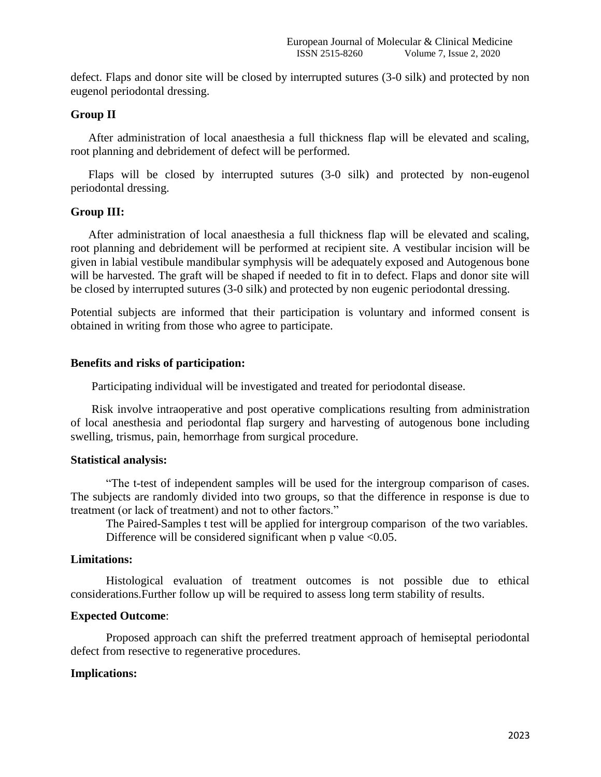defect. Flaps and donor site will be closed by interrupted sutures (3-0 silk) and protected by non eugenol periodontal dressing.

### **Group II**

After administration of local anaesthesia a full thickness flap will be elevated and scaling, root planning and debridement of defect will be performed.

Flaps will be closed by interrupted sutures (3-0 silk) and protected by non-eugenol periodontal dressing.

#### **Group III:**

After administration of local anaesthesia a full thickness flap will be elevated and scaling, root planning and debridement will be performed at recipient site. A vestibular incision will be given in labial vestibule mandibular symphysis will be adequately exposed and Autogenous bone will be harvested. The graft will be shaped if needed to fit in to defect. Flaps and donor site will be closed by interrupted sutures (3-0 silk) and protected by non eugenic periodontal dressing.

Potential subjects are informed that their participation is voluntary and informed consent is obtained in writing from those who agree to participate.

### **Benefits and risks of participation:**

Participating individual will be investigated and treated for periodontal disease.

Risk involve intraoperative and post operative complications resulting from administration of local anesthesia and periodontal flap surgery and harvesting of autogenous bone including swelling, trismus, pain, hemorrhage from surgical procedure.

#### **Statistical analysis:**

"The t-test of independent samples will be used for the intergroup comparison of cases. The subjects are randomly divided into two groups, so that the difference in response is due to treatment (or lack of treatment) and not to other factors."

The Paired-Samples t test will be applied for intergroup comparison of the two variables. Difference will be considered significant when  $p$  value <0.05.

#### **Limitations:**

Histological evaluation of treatment outcomes is not possible due to ethical considerations.Further follow up will be required to assess long term stability of results.

#### **Expected Outcome**:

Proposed approach can shift the preferred treatment approach of hemiseptal periodontal defect from resective to regenerative procedures.

#### **Implications:**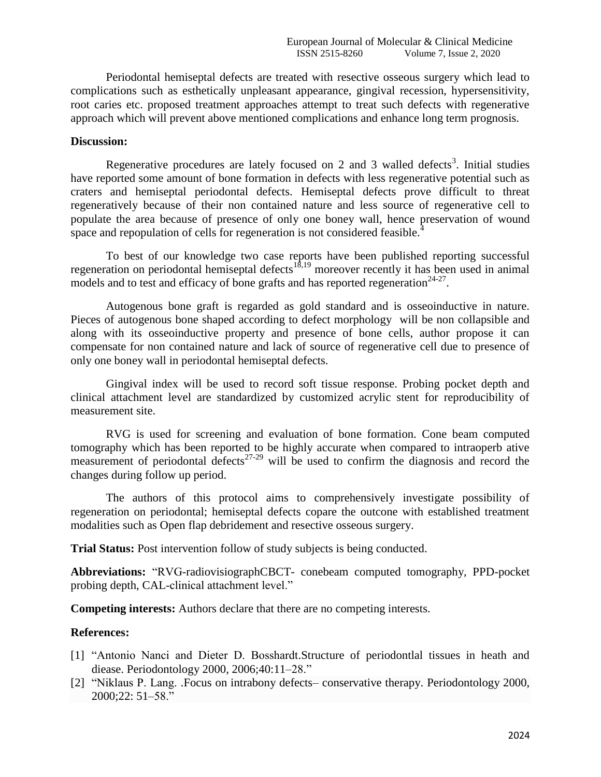Periodontal hemiseptal defects are treated with resective osseous surgery which lead to complications such as esthetically unpleasant appearance, gingival recession, hypersensitivity, root caries etc. proposed treatment approaches attempt to treat such defects with regenerative approach which will prevent above mentioned complications and enhance long term prognosis.

## **Discussion:**

Regenerative procedures are lately focused on 2 and 3 walled defects<sup>3</sup>. Initial studies have reported some amount of bone formation in defects with less regenerative potential such as craters and hemiseptal periodontal defects. Hemiseptal defects prove difficult to threat regeneratively because of their non contained nature and less source of regenerative cell to populate the area because of presence of only one boney wall, hence preservation of wound space and repopulation of cells for regeneration is not considered feasible.<sup>4</sup>

To best of our knowledge two case reports have been published reporting successful regeneration on periodontal hemiseptal defects<sup>18,19</sup> moreover recently it has been used in animal models and to test and efficacy of bone grafts and has reported regeneration<sup>24-27</sup>.

Autogenous bone graft is regarded as gold standard and is osseoinductive in nature. Pieces of autogenous bone shaped according to defect morphology will be non collapsible and along with its osseoinductive property and presence of bone cells, author propose it can compensate for non contained nature and lack of source of regenerative cell due to presence of only one boney wall in periodontal hemiseptal defects.

Gingival index will be used to record soft tissue response. Probing pocket depth and clinical attachment level are standardized by customized acrylic stent for reproducibility of measurement site.

RVG is used for screening and evaluation of bone formation. Cone beam computed tomography which has been reported to be highly accurate when compared to intraoperb ative measurement of periodontal defects<sup>27-29</sup> will be used to confirm the diagnosis and record the changes during follow up period.

The authors of this protocol aims to comprehensively investigate possibility of regeneration on periodontal; hemiseptal defects copare the outcone with established treatment modalities such as Open flap debridement and resective osseous surgery.

**Trial Status:** Post intervention follow of study subjects is being conducted.

**Abbreviations:** "RVG-radiovisiographCBCT- conebeam computed tomography, PPD-pocket probing depth, CAL-clinical attachment level."

**Competing interests:** Authors declare that there are no competing interests.

#### **References:**

- [1] "Antonio Nanci and Dieter D. Bosshardt.Structure of periodontlal tissues in heath and diease. Periodontology 2000, 2006;40:11–28."
- [2] "Niklaus P. Lang. .Focus on intrabony defects– conservative therapy. Periodontology 2000, 2000;22: 51–58."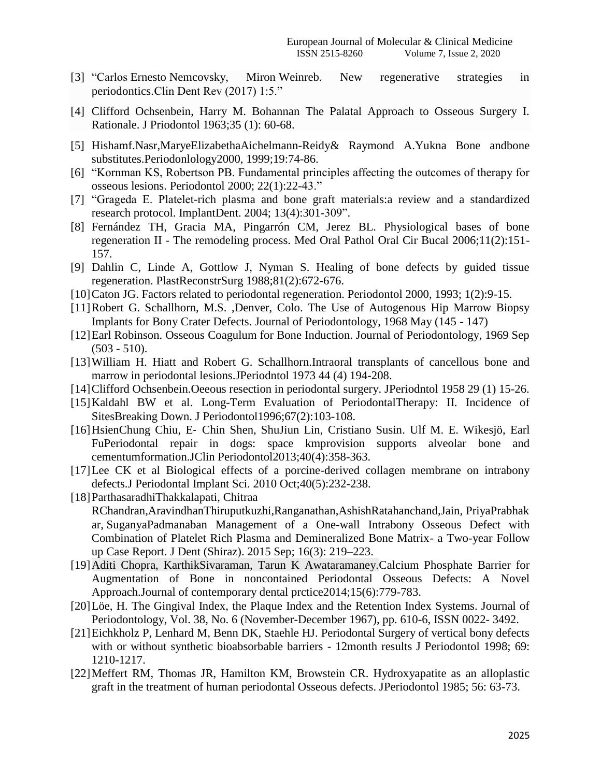- [3] "Carlos Ernesto Nemcovsky, Miron Weinreb. New regenerative strategies in periodontics.Clin Dent Rev (2017) 1:5."
- [4] Clifford Ochsenbein, Harry M. Bohannan The Palatal Approach to Osseous Surgery I. Rationale. J Priodontol 1963;35 (1): 60-68.
- [5] Hishamf.Nasr,MaryeElizabethaAichelmann-Reidy& Raymond A.Yukna Bone andbone substitutes.Periodonlology2000, 1999;19:74-86.
- [6] "Kornman KS, Robertson PB. Fundamental principles affecting the outcomes of therapy for osseous lesions. Periodontol 2000; 22(1):22-43."
- [7] "Grageda E. Platelet-rich plasma and bone graft materials:a review and a standardized research protocol. ImplantDent. 2004; 13(4):301-309".
- [8] Fernández TH, Gracia MA, Pingarrón CM, Jerez BL. Physiological bases of bone regeneration II - The remodeling process. Med Oral Pathol Oral Cir Bucal 2006;11(2):151- 157.
- [9] Dahlin C, Linde A, Gottlow J, Nyman S. Healing of bone defects by guided tissue regeneration. PlastReconstrSurg 1988;81(2):672-676.
- [10]Caton JG. Factors related to periodontal regeneration. Periodontol 2000, 1993; 1(2):9-15.
- [11]Robert G. Schallhorn, M.S. ,Denver, Colo. The Use of Autogenous Hip Marrow Biopsy Implants for Bony Crater Defects. Journal of Periodontology, 1968 May (145 - 147)
- [12] Earl Robinson. Osseous Coagulum for Bone Induction. Journal of Periodontology, 1969 Sep  $(503 - 510)$ .
- [13]William H. Hiatt and Robert G. Schallhorn.Intraoral transplants of cancellous bone and marrow in periodontal lesions.JPeriodntol 1973 44 (4) 194-208.
- [14]Clifford Ochsenbein.Oeeous resection in periodontal surgery. JPeriodntol 1958 29 (1) 15-26.
- [15] Kaldahl BW et al. Long-Term Evaluation of PeriodontalTherapy: II. Incidence of SitesBreaking Down. J Periodontol1996;67(2):103-108.
- [16[\]HsienChung Chiu,](https://onlinelibrary.wiley.com/action/doSearch?ContribAuthorStored=Chiu%2C+Hsien-Chung) E‐ [Chin Shen,](https://onlinelibrary.wiley.com/action/doSearch?ContribAuthorStored=Shen%2C+E-Chin) [ShuJiun Lin,](https://onlinelibrary.wiley.com/action/doSearch?ContribAuthorStored=Lin%2C+Shu-Jiun) [Cristiano Susin.](https://onlinelibrary.wiley.com/action/doSearch?ContribAuthorStored=Susin%2C+Cristiano) [Ulf M. E. Wikesjö,](https://onlinelibrary.wiley.com/action/doSearch?ContribAuthorStored=Wikesj%C3%B6%2C+Ulf+M+E) [Earl](https://onlinelibrary.wiley.com/action/doSearch?ContribAuthorStored=Fu%2C+Earl)  [FuP](https://onlinelibrary.wiley.com/action/doSearch?ContribAuthorStored=Fu%2C+Earl)eriodontal repair in dogs: space kmprovision supports alveolar bone and cementumformation.JClin Periodontol2013;40(4):358-363.
- [17] Lee CK et al Biological effects of a porcine-derived collagen membrane on intrabony defects[.J Periodontal Implant Sci.](https://www.ncbi.nlm.nih.gov/pubmed/21072220) 2010 Oct;40(5):232-238.
- [18[\]ParthasaradhiThakkalapati,](https://www.ncbi.nlm.nih.gov/pubmed/?term=Thakkalapati%20P%5BAuthor%5D&cauthor=true&cauthor_uid=26331153) [Chitraa](https://www.ncbi.nlm.nih.gov/pubmed/?term=R%20Chandran%20C%5BAuthor%5D&cauthor=true&cauthor_uid=26331153)
- [RChandran,](https://www.ncbi.nlm.nih.gov/pubmed/?term=R%20Chandran%20C%5BAuthor%5D&cauthor=true&cauthor_uid=26331153)[AravindhanThiruputkuzhi,Ranganathan](https://www.ncbi.nlm.nih.gov/pubmed/?term=Ranganathan%20AT%5BAuthor%5D&cauthor=true&cauthor_uid=26331153)[,AshishRatahanchand,Jain,](https://www.ncbi.nlm.nih.gov/pubmed/?term=Jain%20AR%5BAuthor%5D&cauthor=true&cauthor_uid=26331153) [PriyaPrabhak](https://www.ncbi.nlm.nih.gov/pubmed/?term=Prabhakar%20P%5BAuthor%5D&cauthor=true&cauthor_uid=26331153) [ar,](https://www.ncbi.nlm.nih.gov/pubmed/?term=Prabhakar%20P%5BAuthor%5D&cauthor=true&cauthor_uid=26331153) [SuganyaPadmanaban](https://www.ncbi.nlm.nih.gov/pubmed/?term=Padmanaban%20S%5BAuthor%5D&cauthor=true&cauthor_uid=26331153) Management of a One-wall Intrabony Osseous Defect with Combination of Platelet Rich Plasma and Demineralized Bone Matrix- a Two-year Follow up Case Report. [J Dent \(Shiraz\).](https://www.ncbi.nlm.nih.gov/pmc/articles/PMC4554316/) 2015 Sep; 16(3): 219–223.
- [19]Aditi Chopra, KarthikSivaraman, Tarun K Awataramaney[.Calcium Phosphate Barrier for](http://www.jaypeejournals.com/eJournals/ArticleDetail.aspx?AID=24&ID=524&topicid=6982)  [Augmentation of Bone in noncontained Periodontal Osseous Defects: A Novel](http://www.jaypeejournals.com/eJournals/ArticleDetail.aspx?AID=24&ID=524&topicid=6982)  [Approach.](http://www.jaypeejournals.com/eJournals/ArticleDetail.aspx?AID=24&ID=524&topicid=6982)Journal of contemporary dental prctice2014;15(6):779-783.
- [20]Löe, H. The Gingival Index, the Plaque Index and the Retention Index Systems. Journal of Periodontology, Vol. 38, No. 6 (November-December 1967), pp. 610-6, ISSN 0022- 3492.
- [21]Eichkholz P, Lenhard M, Benn DK, Staehle HJ. Periodontal Surgery of vertical bony defects with or without synthetic bioabsorbable barriers - 12month results J Periodontol 1998; 69: 1210-1217.
- [22]Meffert RM, Thomas JR, Hamilton KM, Browstein CR. Hydroxyapatite as an alloplastic graft in the treatment of human periodontal Osseous defects. JPeriodontol 1985; 56: 63-73.